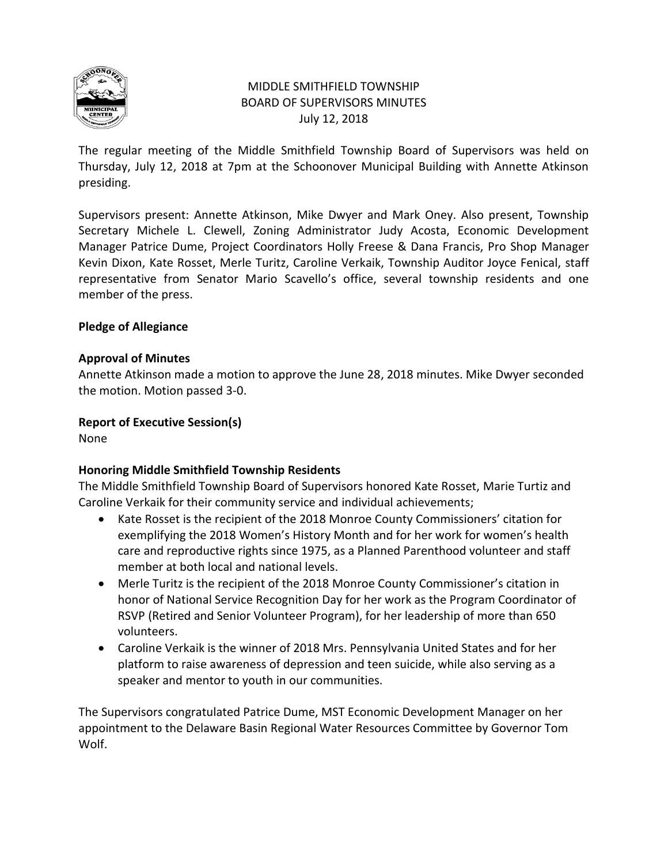

# MIDDLE SMITHFIELD TOWNSHIP BOARD OF SUPERVISORS MINUTES July 12, 2018

The regular meeting of the Middle Smithfield Township Board of Supervisors was held on Thursday, July 12, 2018 at 7pm at the Schoonover Municipal Building with Annette Atkinson presiding.

Supervisors present: Annette Atkinson, Mike Dwyer and Mark Oney. Also present, Township Secretary Michele L. Clewell, Zoning Administrator Judy Acosta, Economic Development Manager Patrice Dume, Project Coordinators Holly Freese & Dana Francis, Pro Shop Manager Kevin Dixon, Kate Rosset, Merle Turitz, Caroline Verkaik, Township Auditor Joyce Fenical, staff representative from Senator Mario Scavello's office, several township residents and one member of the press.

# **Pledge of Allegiance**

# **Approval of Minutes**

Annette Atkinson made a motion to approve the June 28, 2018 minutes. Mike Dwyer seconded the motion. Motion passed 3-0.

# **Report of Executive Session(s)**

None

# **Honoring Middle Smithfield Township Residents**

The Middle Smithfield Township Board of Supervisors honored Kate Rosset, Marie Turtiz and Caroline Verkaik for their community service and individual achievements;

- Kate Rosset is the recipient of the 2018 Monroe County Commissioners' citation for exemplifying the 2018 Women's History Month and for her work for women's health care and reproductive rights since 1975, as a Planned Parenthood volunteer and staff member at both local and national levels.
- Merle Turitz is the recipient of the 2018 Monroe County Commissioner's citation in honor of National Service Recognition Day for her work as the Program Coordinator of RSVP (Retired and Senior Volunteer Program), for her leadership of more than 650 volunteers.
- Caroline Verkaik is the winner of 2018 Mrs. Pennsylvania United States and for her platform to raise awareness of depression and teen suicide, while also serving as a speaker and mentor to youth in our communities.

The Supervisors congratulated Patrice Dume, MST Economic Development Manager on her appointment to the Delaware Basin Regional Water Resources Committee by Governor Tom Wolf.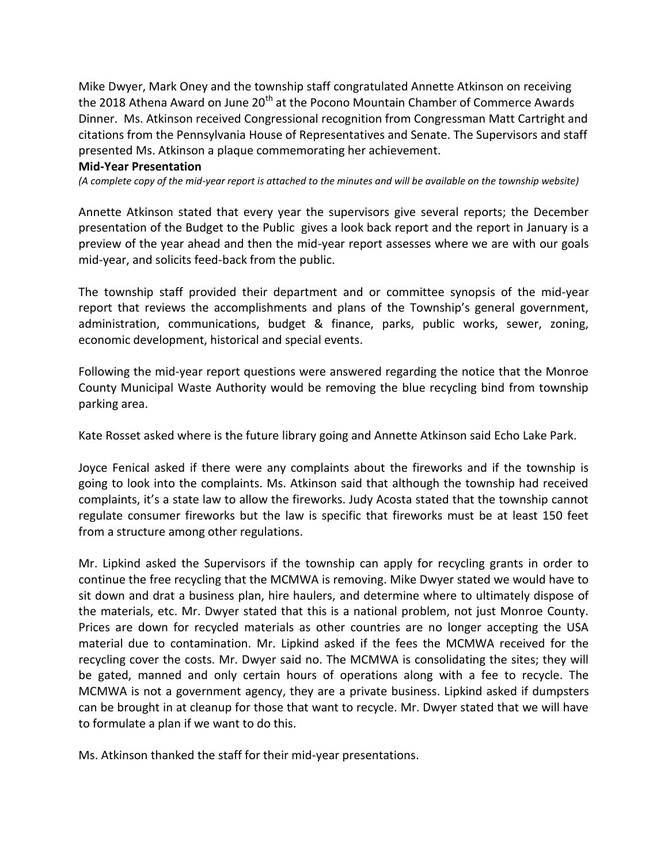Mike Dwyer, Mark Oney and the township staff congratulated Annette Atkinson on receiving the 2018 Athena Award on June 20<sup>th</sup> at the Pocono Mountain Chamber of Commerce Awards Dinner. Ms. Atkinson received Congressional recognition from Congressman Matt Cartright and citations from the Pennsylvania House of Representatives and Senate. The Supervisors and staff presented Ms. Atkinson a plaque commemorating her achievement.

#### **Mid-Year Presentation**

*(A complete copy of the mid-year report is attached to the minutes and will be available on the township website)* 

Annette Atkinson stated that every year the supervisors give several reports; the December presentation of the Budget to the Public gives a look back report and the report in January is a preview of the year ahead and then the mid-year report assesses where we are with our goals mid-year, and solicits feed-back from the public.

The township staff provided their department and or committee synopsis of the mid-year report that reviews the accomplishments and plans of the Township's general government, administration, communications, budget & finance, parks, public works, sewer, zoning, economic development, historical and special events.

Following the mid-year report questions were answered regarding the notice that the Monroe County Municipal Waste Authority would be removing the blue recycling bind from township parking area.

Kate Rosset asked where is the future library going and Annette Atkinson said Echo Lake Park.

Joyce Fenical asked if there were any complaints about the fireworks and if the township is going to look into the complaints. Ms. Atkinson said that although the township had received complaints, it's a state law to allow the fireworks. Judy Acosta stated that the township cannot regulate consumer fireworks but the law is specific that fireworks must be at least 150 feet from a structure among other regulations.

Mr. Lipkind asked the Supervisors if the township can apply for recycling grants in order to continue the free recycling that the MCMWA is removing. Mike Dwyer stated we would have to sit down and drat a business plan, hire haulers, and determine where to ultimately dispose of the materials, etc. Mr. Dwyer stated that this is a national problem, not just Monroe County. Prices are down for recycled materials as other countries are no longer accepting the USA material due to contamination. Mr. Lipkind asked if the fees the MCMWA received for the recycling cover the costs. Mr. Dwyer said no. The MCMWA is consolidating the sites; they will be gated, manned and only certain hours of operations along with a fee to recycle. The MCMWA is not a government agency, they are a private business. Lipkind asked if dumpsters can be brought in at cleanup for those that want to recycle. Mr. Dwyer stated that we will have to formulate a plan if we want to do this.

Ms. Atkinson thanked the staff for their mid-year presentations.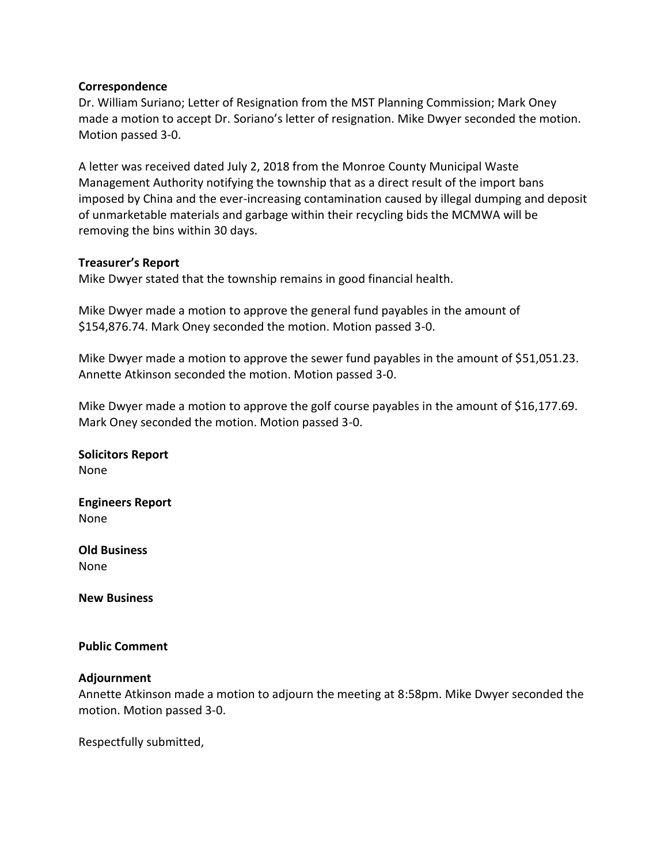#### **Correspondence**

Dr. William Suriano; Letter of Resignation from the MST Planning Commission; Mark Oney made a motion to accept Dr. Soriano's letter of resignation. Mike Dwyer seconded the motion. Motion passed 3-0.

A letter was received dated July 2, 2018 from the Monroe County Municipal Waste Management Authority notifying the township that as a direct result of the import bans imposed by China and the ever-increasing contamination caused by illegal dumping and deposit of unmarketable materials and garbage within their recycling bids the MCMWA will be removing the bins within 30 days.

### **Treasurer's Report**

Mike Dwyer stated that the township remains in good financial health.

Mike Dwyer made a motion to approve the general fund payables in the amount of \$154,876.74. Mark Oney seconded the motion. Motion passed 3-0.

Mike Dwyer made a motion to approve the sewer fund payables in the amount of \$51,051.23. Annette Atkinson seconded the motion. Motion passed 3-0.

Mike Dwyer made a motion to approve the golf course payables in the amount of \$16,177.69. Mark Oney seconded the motion. Motion passed 3-0.

**Solicitors Report** None

**Engineers Report** None

**Old Business** None

**New Business**

#### **Public Comment**

#### **Adjournment**

Annette Atkinson made a motion to adjourn the meeting at 8:58pm. Mike Dwyer seconded the motion. Motion passed 3-0.

Respectfully submitted,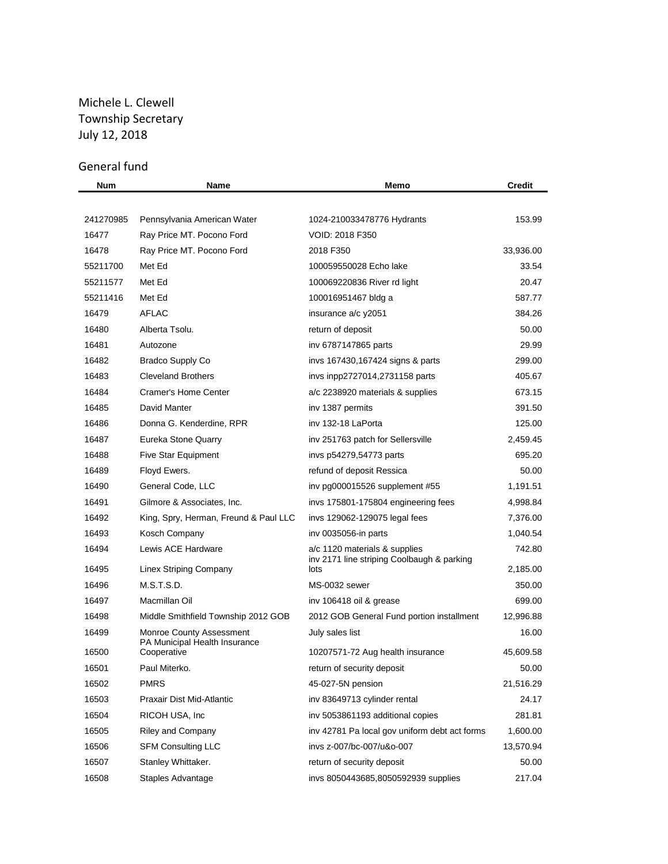# Michele L. Clewell Township Secretary July 12, 2018

# General fund

| Num       | Name                                                             | Memo                                               | <b>Credit</b> |
|-----------|------------------------------------------------------------------|----------------------------------------------------|---------------|
|           |                                                                  |                                                    |               |
| 241270985 | Pennsylvania American Water                                      | 1024-210033478776 Hydrants                         | 153.99        |
| 16477     | Ray Price MT. Pocono Ford                                        | <b>VOID: 2018 F350</b>                             |               |
| 16478     | Ray Price MT. Pocono Ford                                        | 2018 F350                                          | 33,936.00     |
| 55211700  | Met Ed                                                           | 100059550028 Echo lake                             | 33.54         |
| 55211577  | Met Ed                                                           | 100069220836 River rd light                        | 20.47         |
| 55211416  | Met Ed                                                           | 100016951467 bldg a                                | 587.77        |
| 16479     | <b>AFLAC</b>                                                     | insurance a/c y2051                                | 384.26        |
| 16480     | Alberta Tsolu.                                                   | return of deposit                                  | 50.00         |
| 16481     | Autozone                                                         | iny 6787147865 parts                               | 29.99         |
| 16482     | Bradco Supply Co                                                 | invs 167430,167424 signs & parts                   | 299.00        |
| 16483     | <b>Cleveland Brothers</b>                                        | invs inpp2727014,2731158 parts                     | 405.67        |
| 16484     | Cramer's Home Center                                             | a/c 2238920 materials & supplies                   | 673.15        |
| 16485     | David Manter                                                     | inv 1387 permits                                   | 391.50        |
| 16486     | Donna G. Kenderdine, RPR                                         | inv 132-18 LaPorta                                 | 125.00        |
| 16487     | Eureka Stone Quarry                                              | inv 251763 patch for Sellersville                  | 2,459.45      |
| 16488     | Five Star Equipment                                              | invs p54279,54773 parts                            | 695.20        |
| 16489     | Floyd Ewers.                                                     | refund of deposit Ressica                          | 50.00         |
| 16490     | General Code, LLC                                                | inv pg000015526 supplement #55                     | 1,191.51      |
| 16491     | Gilmore & Associates, Inc.                                       | invs 175801-175804 engineering fees                | 4,998.84      |
| 16492     | King, Spry, Herman, Freund & Paul LLC                            | invs 129062-129075 legal fees                      | 7,376.00      |
| 16493     | Kosch Company                                                    | inv 0035056-in parts                               | 1,040.54      |
| 16494     | Lewis ACE Hardware                                               | a/c 1120 materials & supplies                      | 742.80        |
| 16495     | Linex Striping Company                                           | inv 2171 line striping Coolbaugh & parking<br>lots | 2,185.00      |
| 16496     | M.S.T.S.D.                                                       | MS-0032 sewer                                      | 350.00        |
| 16497     | Macmillan Oil                                                    | inv 106418 oil & grease                            | 699.00        |
| 16498     | Middle Smithfield Township 2012 GOB                              | 2012 GOB General Fund portion installment          | 12,996.88     |
| 16499     | <b>Monroe County Assessment</b><br>PA Municipal Health Insurance | July sales list                                    | 16.00         |
| 16500     | Cooperative                                                      | 10207571-72 Aug health insurance                   | 45,609.58     |
| 16501     | Paul Miterko.                                                    | return of security deposit                         | 50.00         |
| 16502     | <b>PMRS</b>                                                      | 45-027-5N pension                                  | 21,516.29     |
| 16503     | Praxair Dist Mid-Atlantic                                        | inv 83649713 cylinder rental                       | 24.17         |
| 16504     | RICOH USA, Inc.                                                  | inv 5053861193 additional copies                   | 281.81        |
| 16505     | <b>Riley and Company</b>                                         | inv 42781 Pa local gov uniform debt act forms      | 1,600.00      |
| 16506     | <b>SFM Consulting LLC</b>                                        | inys z-007/bc-007/u&o-007                          | 13,570.94     |
| 16507     | Stanley Whittaker.                                               | return of security deposit                         | 50.00         |
| 16508     | Staples Advantage                                                | invs 8050443685,8050592939 supplies                | 217.04        |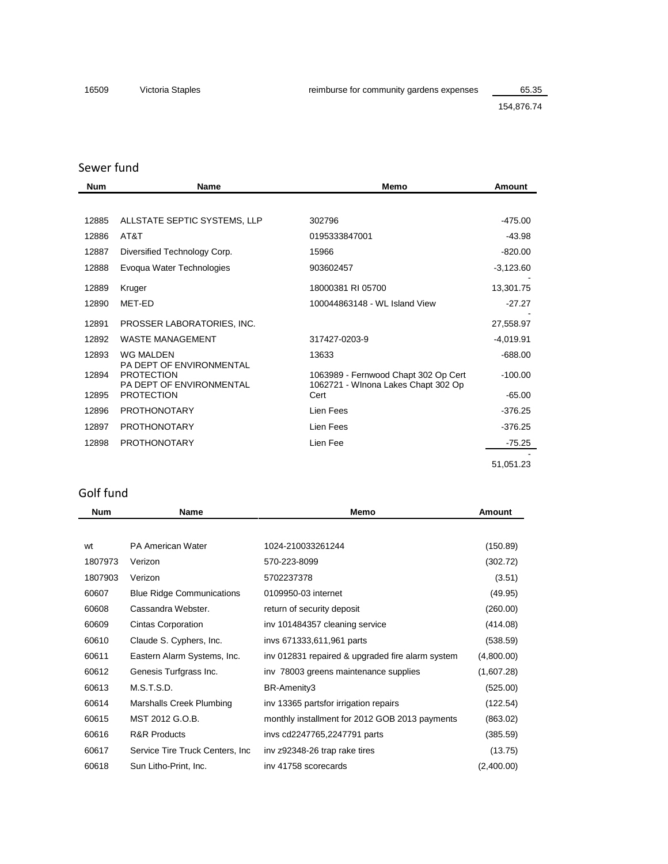154,876.74

| Sewer fund |                                                                           |                                                                             |             |  |
|------------|---------------------------------------------------------------------------|-----------------------------------------------------------------------------|-------------|--|
| <b>Num</b> | <b>Name</b>                                                               | Memo                                                                        | Amount      |  |
|            |                                                                           |                                                                             |             |  |
| 12885      | ALLSTATE SEPTIC SYSTEMS, LLP                                              | 302796                                                                      | $-475.00$   |  |
| 12886      | AT&T                                                                      | 0195333847001                                                               | $-43.98$    |  |
| 12887      | Diversified Technology Corp.                                              | 15966                                                                       | $-820.00$   |  |
| 12888      | Evoqua Water Technologies                                                 | 903602457                                                                   | $-3,123.60$ |  |
| 12889      | Kruger                                                                    | 18000381 RI 05700                                                           | 13,301.75   |  |
| 12890      | MET-ED                                                                    | 100044863148 - WL Island View                                               | $-27.27$    |  |
| 12891      | PROSSER LABORATORIES, INC.                                                |                                                                             | 27,558.97   |  |
| 12892      | <b>WASTE MANAGEMENT</b>                                                   | 317427-0203-9                                                               | $-4,019.91$ |  |
| 12893      | <b>WG MALDEN</b>                                                          | 13633                                                                       | $-688.00$   |  |
| 12894      | PA DEPT OF ENVIRONMENTAL<br><b>PROTECTION</b><br>PA DEPT OF ENVIRONMENTAL | 1063989 - Fernwood Chapt 302 Op Cert<br>1062721 - Winona Lakes Chapt 302 Op | $-100.00$   |  |
| 12895      | <b>PROTECTION</b>                                                         | Cert                                                                        | $-65.00$    |  |
| 12896      | <b>PROTHONOTARY</b>                                                       | Lien Fees                                                                   | $-376.25$   |  |
| 12897      | <b>PROTHONOTARY</b>                                                       | Lien Fees                                                                   | $-376.25$   |  |
| 12898      | <b>PROTHONOTARY</b>                                                       | Lien Fee                                                                    | $-75.25$    |  |
|            |                                                                           |                                                                             | 51,051.23   |  |

# Golf fund

| <b>Num</b> | <b>Name</b>                      | Memo                                             | Amount     |
|------------|----------------------------------|--------------------------------------------------|------------|
|            |                                  |                                                  |            |
| wt         | <b>PA American Water</b>         | 1024-210033261244                                | (150.89)   |
| 1807973    | Verizon                          | 570-223-8099                                     | (302.72)   |
| 1807903    | Verizon                          | 5702237378                                       | (3.51)     |
| 60607      | <b>Blue Ridge Communications</b> | 0109950-03 internet                              | (49.95)    |
| 60608      | Cassandra Webster.               | return of security deposit                       | (260.00)   |
| 60609      | Cintas Corporation               | inv 101484357 cleaning service                   | (414.08)   |
| 60610      | Claude S. Cyphers, Inc.          | invs 671333,611,961 parts                        | (538.59)   |
| 60611      | Eastern Alarm Systems, Inc.      | inv 012831 repaired & upgraded fire alarm system | (4,800.00) |
| 60612      | Genesis Turfgrass Inc.           | inv 78003 greens maintenance supplies            | (1,607.28) |
| 60613      | M.S.T.S.D.                       | BR-Amenity3                                      | (525.00)   |
| 60614      | Marshalls Creek Plumbing         | inv 13365 partsfor irrigation repairs            | (122.54)   |
| 60615      | MST 2012 G.O.B.                  | monthly installment for 2012 GOB 2013 payments   | (863.02)   |
| 60616      | <b>R&amp;R Products</b>          | invs cd2247765,2247791 parts                     | (385.59)   |
| 60617      | Service Tire Truck Centers, Inc. | inv z92348-26 trap rake tires                    | (13.75)    |
| 60618      | Sun Litho-Print, Inc.            | inv 41758 scorecards                             | (2,400.00) |